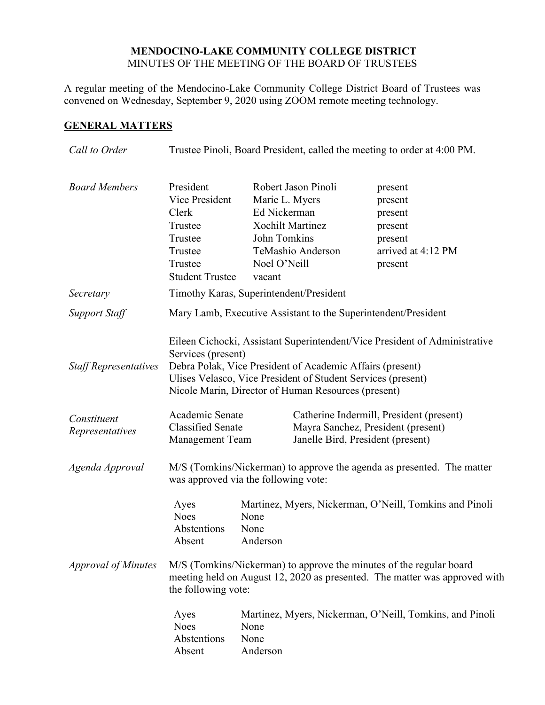### **MENDOCINO-LAKE COMMUNITY COLLEGE DISTRICT** MINUTES OF THE MEETING OF THE BOARD OF TRUSTEES

A regular meeting of the Mendocino-Lake Community College District Board of Trustees was convened on Wednesday, September 9, 2020 using ZOOM remote meeting technology.

# **GENERAL MATTERS**

| Call to Order                  | Trustee Pinoli, Board President, called the meeting to order at 4:00 PM.                                                                                                                                                                                                                                |  |
|--------------------------------|---------------------------------------------------------------------------------------------------------------------------------------------------------------------------------------------------------------------------------------------------------------------------------------------------------|--|
| <b>Board Members</b>           | President<br>Robert Jason Pinoli<br>present<br><b>Vice President</b><br>Marie L. Myers<br>present<br>Ed Nickerman<br>present<br><b>Xochilt Martinez</b><br>present<br>John Tomkins<br>present<br>TeMashio Anderson<br>arrived at 4:12 PM<br>Noel O'Neill<br>present<br><b>Student Trustee</b><br>vacant |  |
| Secretary                      | Timothy Karas, Superintendent/President                                                                                                                                                                                                                                                                 |  |
| <b>Support Staff</b>           | Mary Lamb, Executive Assistant to the Superintendent/President                                                                                                                                                                                                                                          |  |
| <b>Staff Representatives</b>   | Eileen Cichocki, Assistant Superintendent/Vice President of Administrative<br>Services (present)<br>Debra Polak, Vice President of Academic Affairs (present)<br>Ulises Velasco, Vice President of Student Services (present)<br>Nicole Marin, Director of Human Resources (present)                    |  |
| Constituent<br>Representatives | Academic Senate<br>Catherine Indermill, President (present)<br><b>Classified Senate</b><br>Mayra Sanchez, President (present)<br><b>Management Team</b><br>Janelle Bird, President (present)                                                                                                            |  |
| Agenda Approval                | M/S (Tomkins/Nickerman) to approve the agenda as presented. The matter<br>was approved via the following vote:                                                                                                                                                                                          |  |
| <b>Approval of Minutes</b>     | Martinez, Myers, Nickerman, O'Neill, Tomkins and Pinoli<br>None<br>Abstentions<br>None<br>Absent<br>Anderson<br>M/S (Tomkins/Nickerman) to approve the minutes of the regular board<br>meeting held on August 12, 2020 as presented. The matter was approved with                                       |  |
|                                | the following vote:<br>Martinez, Myers, Nickerman, O'Neill, Tomkins, and Pinoli<br>None<br>Abstentions<br>None                                                                                                                                                                                          |  |
|                                | Absent<br>Anderson                                                                                                                                                                                                                                                                                      |  |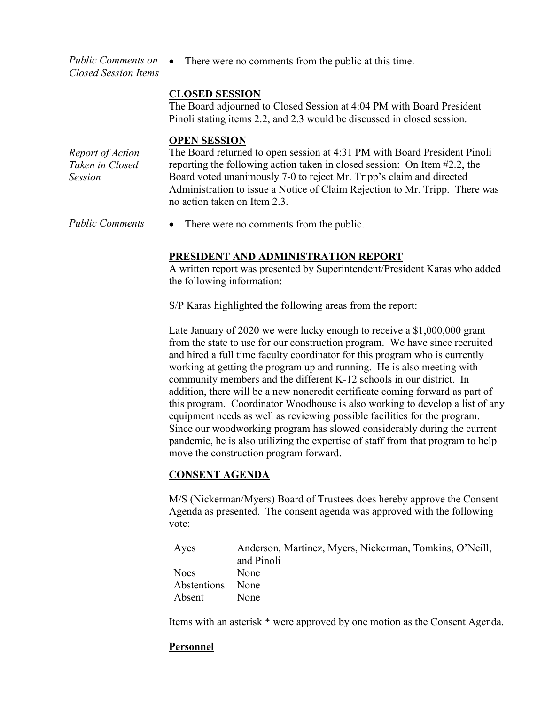*Public Comments on Closed Session Items* • There were no comments from the public at this time.

### **CLOSED SESSION**

The Board adjourned to Closed Session at 4:04 PM with Board President Pinoli stating items 2.2, and 2.3 would be discussed in closed session.

#### **OPEN SESSION**

*Report of Action Taken in Closed Session* The Board returned to open session at 4:31 PM with Board President Pinoli reporting the following action taken in closed session: On Item #2.2, the Board voted unanimously 7-0 to reject Mr. Tripp's claim and directed Administration to issue a Notice of Claim Rejection to Mr. Tripp. There was no action taken on Item 2.3.

*Public Comments* • There were no comments from the public.

## **PRESIDENT AND ADMINISTRATION REPORT**

A written report was presented by Superintendent/President Karas who added the following information:

S/P Karas highlighted the following areas from the report:

Late January of 2020 we were lucky enough to receive a \$1,000,000 grant from the state to use for our construction program. We have since recruited and hired a full time faculty coordinator for this program who is currently working at getting the program up and running. He is also meeting with community members and the different K-12 schools in our district. In addition, there will be a new noncredit certificate coming forward as part of this program. Coordinator Woodhouse is also working to develop a list of any equipment needs as well as reviewing possible facilities for the program. Since our woodworking program has slowed considerably during the current pandemic, he is also utilizing the expertise of staff from that program to help move the construction program forward.

### **CONSENT AGENDA**

M/S (Nickerman/Myers) Board of Trustees does hereby approve the Consent Agenda as presented. The consent agenda was approved with the following vote:

| Ayes             | Anderson, Martinez, Myers, Nickerman, Tomkins, O'Neill, |
|------------------|---------------------------------------------------------|
|                  | and Pinoli                                              |
| Noes             | None                                                    |
| Abstentions None |                                                         |
| Absent           | None                                                    |

Items with an asterisk \* were approved by one motion as the Consent Agenda.

### **Personnel**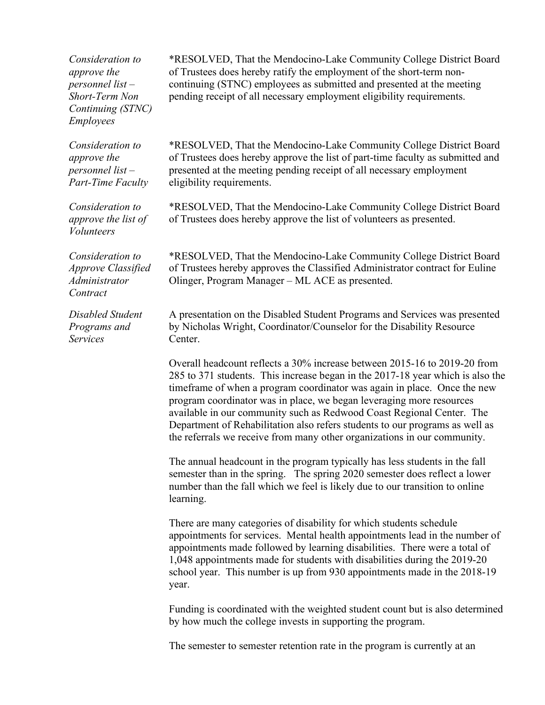*Consideration to approve the personnel list – Short-Term Non Continuing (STNC) Employees*

\*RESOLVED, That the Mendocino-Lake Community College District Board of Trustees does hereby ratify the employment of the short-term noncontinuing (STNC) employees as submitted and presented at the meeting pending receipt of all necessary employment eligibility requirements.

*Consideration to approve the personnel list – Part-Time Faculty*

*Consideration to approve the list of Volunteers*

*Consideration to Approve Classified Administrator Contract*

*Disabled Student Programs and Services*

\*RESOLVED, That the Mendocino-Lake Community College District Board of Trustees does hereby approve the list of part-time faculty as submitted and presented at the meeting pending receipt of all necessary employment eligibility requirements.

\*RESOLVED, That the Mendocino-Lake Community College District Board of Trustees does hereby approve the list of volunteers as presented.

\*RESOLVED, That the Mendocino-Lake Community College District Board of Trustees hereby approves the Classified Administrator contract for Euline Olinger, Program Manager – ML ACE as presented.

A presentation on the Disabled Student Programs and Services was presented by Nicholas Wright, Coordinator/Counselor for the Disability Resource Center.

Overall headcount reflects a 30% increase between 2015-16 to 2019-20 from 285 to 371 students. This increase began in the 2017-18 year which is also the timeframe of when a program coordinator was again in place. Once the new program coordinator was in place, we began leveraging more resources available in our community such as Redwood Coast Regional Center. The Department of Rehabilitation also refers students to our programs as well as the referrals we receive from many other organizations in our community.

The annual headcount in the program typically has less students in the fall semester than in the spring. The spring 2020 semester does reflect a lower number than the fall which we feel is likely due to our transition to online learning.

There are many categories of disability for which students schedule appointments for services. Mental health appointments lead in the number of appointments made followed by learning disabilities. There were a total of 1,048 appointments made for students with disabilities during the 2019-20 school year. This number is up from 930 appointments made in the 2018-19 year.

Funding is coordinated with the weighted student count but is also determined by how much the college invests in supporting the program.

The semester to semester retention rate in the program is currently at an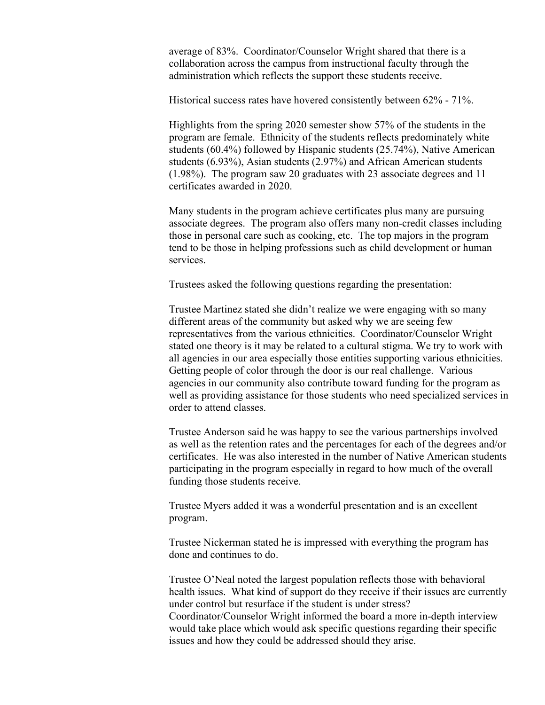average of 83%. Coordinator/Counselor Wright shared that there is a collaboration across the campus from instructional faculty through the administration which reflects the support these students receive.

Historical success rates have hovered consistently between 62% - 71%.

Highlights from the spring 2020 semester show 57% of the students in the program are female. Ethnicity of the students reflects predominately white students (60.4%) followed by Hispanic students (25.74%), Native American students (6.93%), Asian students (2.97%) and African American students (1.98%). The program saw 20 graduates with 23 associate degrees and 11 certificates awarded in 2020.

Many students in the program achieve certificates plus many are pursuing associate degrees. The program also offers many non-credit classes including those in personal care such as cooking, etc. The top majors in the program tend to be those in helping professions such as child development or human services.

Trustees asked the following questions regarding the presentation:

Trustee Martinez stated she didn't realize we were engaging with so many different areas of the community but asked why we are seeing few representatives from the various ethnicities. Coordinator/Counselor Wright stated one theory is it may be related to a cultural stigma. We try to work with all agencies in our area especially those entities supporting various ethnicities. Getting people of color through the door is our real challenge. Various agencies in our community also contribute toward funding for the program as well as providing assistance for those students who need specialized services in order to attend classes.

Trustee Anderson said he was happy to see the various partnerships involved as well as the retention rates and the percentages for each of the degrees and/or certificates. He was also interested in the number of Native American students participating in the program especially in regard to how much of the overall funding those students receive.

Trustee Myers added it was a wonderful presentation and is an excellent program.

Trustee Nickerman stated he is impressed with everything the program has done and continues to do.

Trustee O'Neal noted the largest population reflects those with behavioral health issues. What kind of support do they receive if their issues are currently under control but resurface if the student is under stress?

Coordinator/Counselor Wright informed the board a more in-depth interview would take place which would ask specific questions regarding their specific issues and how they could be addressed should they arise.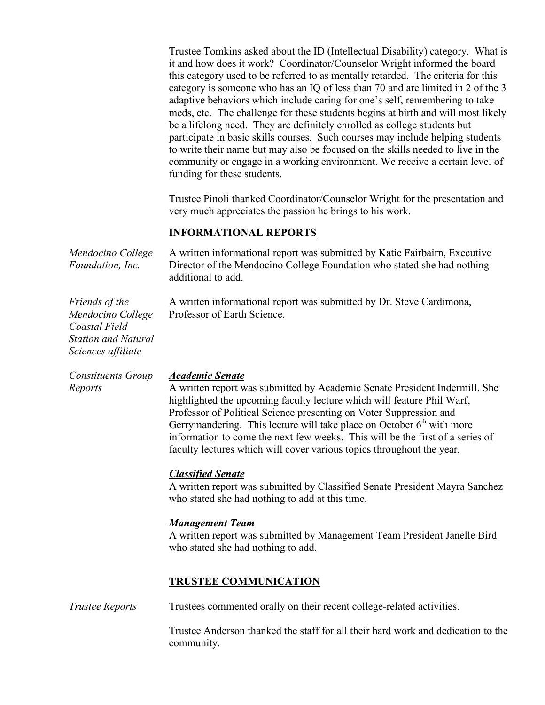Trustee Tomkins asked about the ID (Intellectual Disability) category. What is it and how does it work? Coordinator/Counselor Wright informed the board this category used to be referred to as mentally retarded. The criteria for this category is someone who has an IQ of less than 70 and are limited in 2 of the 3 adaptive behaviors which include caring for one's self, remembering to take meds, etc. The challenge for these students begins at birth and will most likely be a lifelong need. They are definitely enrolled as college students but participate in basic skills courses. Such courses may include helping students to write their name but may also be focused on the skills needed to live in the community or engage in a working environment. We receive a certain level of funding for these students.

Trustee Pinoli thanked Coordinator/Counselor Wright for the presentation and very much appreciates the passion he brings to his work.

#### **INFORMATIONAL REPORTS**

| Mendocino College<br>Foundation, Inc.                                                                    | A written informational report was submitted by Katie Fairbairn, Executive<br>Director of the Mendocino College Foundation who stated she had nothing<br>additional to add. |
|----------------------------------------------------------------------------------------------------------|-----------------------------------------------------------------------------------------------------------------------------------------------------------------------------|
| <i>Friends of the</i><br>Mendocino College<br>Coastal Field<br>Station and Natural<br>Sciences affiliate | A written informational report was submitted by Dr. Steve Cardimona,<br>Professor of Earth Science.                                                                         |

*Constituents Group Reports*

#### *Academic Senate*

A written report was submitted by Academic Senate President Indermill. She highlighted the upcoming faculty lecture which will feature Phil Warf, Professor of Political Science presenting on Voter Suppression and Gerrymandering. This lecture will take place on October  $6<sup>th</sup>$  with more information to come the next few weeks. This will be the first of a series of faculty lectures which will cover various topics throughout the year.

### *Classified Senate*

A written report was submitted by Classified Senate President Mayra Sanchez who stated she had nothing to add at this time.

#### *Management Team*

A written report was submitted by Management Team President Janelle Bird who stated she had nothing to add.

### **TRUSTEE COMMUNICATION**

*Trustee Reports* Trustees commented orally on their recent college-related activities.

Trustee Anderson thanked the staff for all their hard work and dedication to the community.